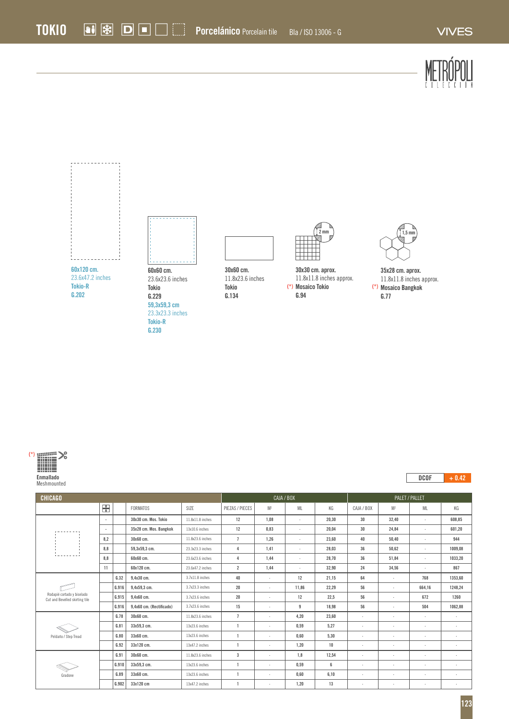



| ___ |  |
|-----|--|

| <b>CHICAGO</b>                                               |     |       |                          |                   | CAJA / BOX      |                |              | PALET / PALLET |                |                          |                          |           |
|--------------------------------------------------------------|-----|-------|--------------------------|-------------------|-----------------|----------------|--------------|----------------|----------------|--------------------------|--------------------------|-----------|
|                                                              | 岊   |       | <b>FORMATOS</b>          | SIZE              | PIEZAS / PIECES | M <sup>2</sup> | ML           | KG             | CAJA / BOX     | M <sup>2</sup>           | ML                       | KG        |
|                                                              | ×   |       | 30x30 cm. Mos. Tokio     | 11.8x11.8 inches  | 12              | 1.08           | ٠            | 20.30          | 30             | 32.40                    | $\cdot$                  | 608.85    |
|                                                              | ٠   |       | 35x28 cm. Mos. Bangkok   | 13x10.6 inches    | 12              | 0,83           | ٠            | 20,04          | 30             | 24,84                    | $\cdot$                  | 601,20    |
|                                                              | 8,2 |       | 30x60 cm.                | 11.8x23.6 inches  | $\overline{1}$  | 1,26           | ٠            | 23,60          | 40             | 50,40                    | $\cdot$                  | 944       |
|                                                              | 8,8 |       | 59.3x59.3 cm.            | 23.3x23.3 inches  | $\overline{4}$  | 1,41           | $\mathbf{r}$ | 28,03          | 36             | 50,62                    | $\overline{\phantom{a}}$ | 1009.08   |
|                                                              | 8.8 |       | 60x60 cm.                | 23.6x23.6 inches  | $\overline{4}$  | 1,44           | ٠            | 28,70          | 36             | 51,84                    | $\cdot$                  | 1033,20   |
|                                                              | 11  |       | 60x120 cm.               | 23.6x47.2 inches  | $\overline{2}$  | 1,44           | ٠            | 32,90          | 24             | 34,56                    | $\cdot$                  | 867       |
| Rodapié cortado y biselado<br>Cut and Bevelled skirting tile |     | G.32  | 9.4x30 cm.               | $3.7x11.8$ inches | 40              | $\overline{a}$ | 12           | 21.15          | 64             | $\overline{a}$           | 768                      | 1353.60   |
|                                                              |     | G.916 | 9.4x59.3 cm.             | 3.7x23.3 inches   | 20              | $\sim$         | 11.86        | 22.29          | 56             | $\overline{a}$           | 664.16                   | 1248.24   |
|                                                              |     | G.915 | 9,4x60 cm.               | 3.7x23.6 inches   | 20              |                | 12           | 22,5           | 56             | $\overline{a}$           | 672                      | 1260      |
|                                                              |     | G.916 | 9,4x60 cm. (Rectificado) | 3.7x23.6 inches   | 15              | $\sim$         | 9            | 18,98          | 56             | $\cdot$                  | 504                      | 1062,88   |
| Peldaño / Step Tread                                         |     | G.78  | 30x60 cm.                | 11.8x23.6 inches  | $\overline{1}$  |                | 4.20         | 23.60          | ٠              | $\cdot$                  | $\cdot$                  | ٠         |
|                                                              |     | G.81  | 33x59,3 cm.              | 13x23.6 inches    |                 |                | 0,59         | 5,27           | $\lambda$      | $\overline{\phantom{a}}$ | ٠                        | ٠         |
|                                                              |     | G.80  | 33x60 cm.                | 13x23.6 inches    | $\overline{1}$  |                | 0.60         | 5.30           | $\overline{a}$ | $\overline{a}$           | ٠                        | $\lambda$ |
|                                                              |     | G.92  | 33x120 cm.               | 13x47.2 inches    | $\overline{1}$  | $\sim$         | 1.20         | 10             | $\cdot$        | $\overline{a}$           | $\overline{\phantom{a}}$ | ٠         |
| Gradone                                                      |     | G.91  | 30x60 cm.                | 11.8x23.6 inches  | $\overline{3}$  | $\overline{a}$ | 1.8          | 12,54          | $\overline{a}$ | $\cdot$                  | ٠                        | $\lambda$ |
|                                                              |     | G.910 | 33x59.3 cm.              | 13x23.6 inches    |                 |                | 0,59         | 6              | $\overline{a}$ | $\overline{a}$           | $\mathbf{r}$             | $\lambda$ |
|                                                              |     | G.89  | 33x60 cm.                | 13x23.6 inches    |                 |                | 0,60         | 6,10           | ٠              | $\cdot$                  | ٠                        |           |
|                                                              |     | G.902 | 33x120 cm                | 13x47.2 inches    |                 |                | 1,20         | 13             | $\overline{a}$ | $\cdot$                  | ٠                        | ٠         |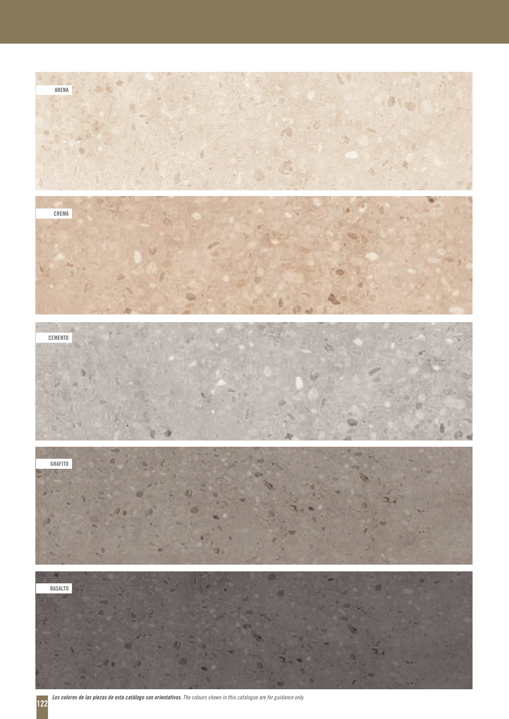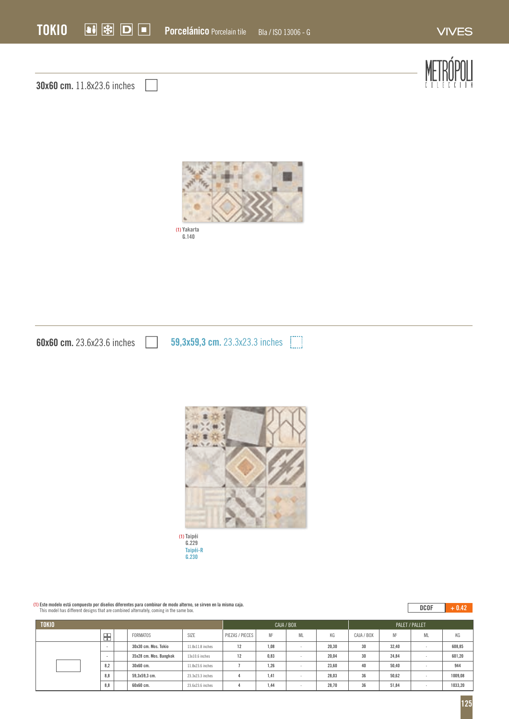

**Taipéi G.229 Taipéi-R G.230 (1)**

## **(1) Este modelo está compuesto por diseños diferentes para combinar de modo alterno, se sirven en la misma caja.** This model has different designs that are combined alternately, coming in the same box.

## $\overline{DCOF}$  + 0.42

| <b>TOKIO</b> |     |  |                        |                    | CAJA / BOX      |                |    |       | PALET / PALLET |                |           |         |
|--------------|-----|--|------------------------|--------------------|-----------------|----------------|----|-------|----------------|----------------|-----------|---------|
|              | ₩   |  | <b>FORMATOS</b>        | SIZE               | PIEZAS / PIECES | M <sup>2</sup> | ML | KG    | CAJA / BOX     | M <sup>2</sup> | <b>ML</b> | KG      |
|              | . . |  | 30x30 cm. Mos. Tokio   | $11.8x11.8$ inches | 12              | 1,08           |    | 20.30 | 30             | 32,40          | $\sim$    | 608,85  |
|              | . . |  | 35x28 cm. Mos. Bangkok | $13x10.6$ inches   | 12              | 0.83           |    | 20.04 | 30             | 24,84          | . .       | 601,20  |
|              | 8,2 |  | 30x60 cm.              | 11.8x23.6 inches   |                 | 1,26           |    | 23.60 | 40             | 50,40          |           | 944     |
|              | 8,8 |  | 59.3x59.3 cm.          | 23.3x23.3 inches   |                 | 1,41           |    | 28.03 | 36             | 50.62          | $\sim$    | 1009,08 |
|              | 8,8 |  | 60x60 cm.              | 23.6x23.6 inches   |                 | 1,44           |    | 28.70 | 36             | 51,84          | . .       | 1033,20 |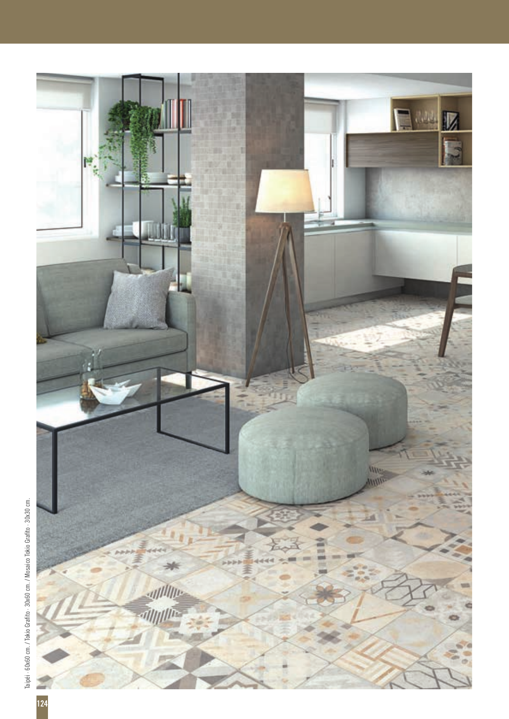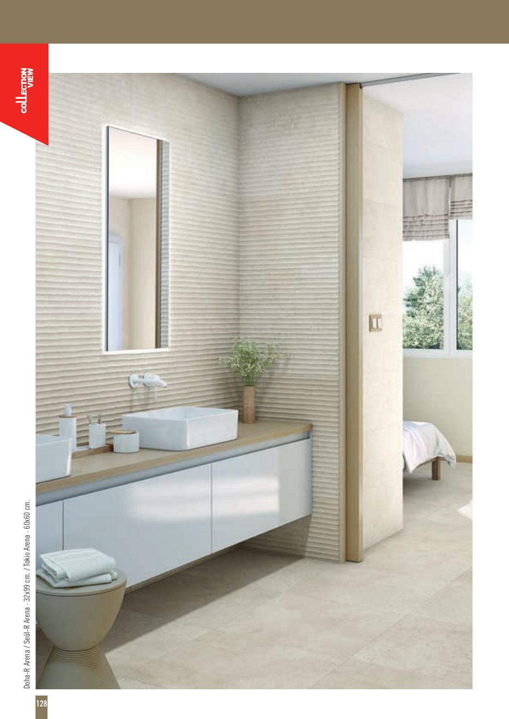**COLLECTION** 



Doha-R Arena / Seúl-R Arena - 32x99 cm. / Tokio Arena - 60x60 cm. Doha-R Arena / Seúl-R Arena · 32x99 cm. / Tokio Arena · 60x60 cm.